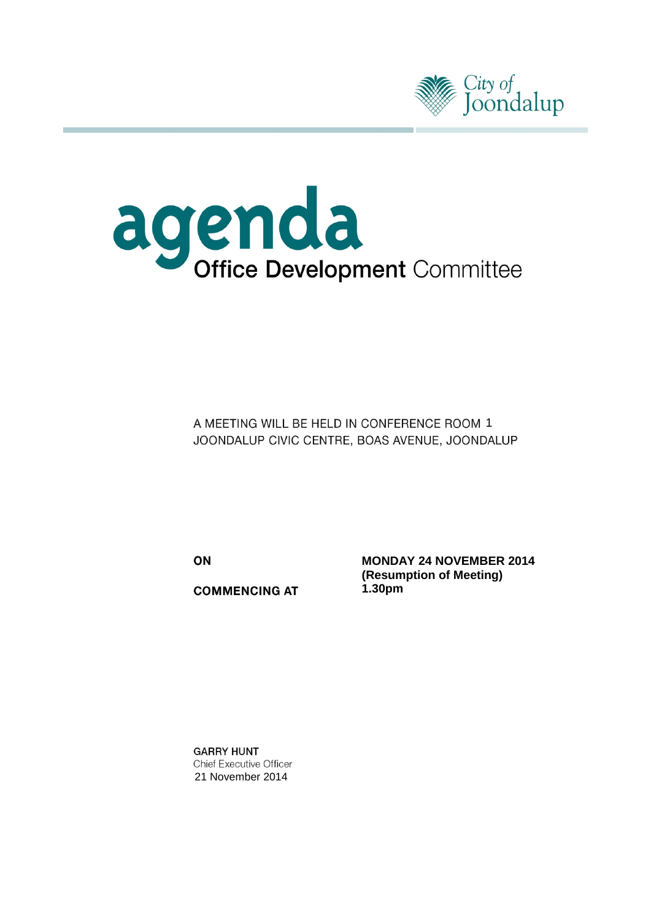



A MEETING WILL BE HELD IN CONFERENCE ROOM 1 JOONDALUP CIVIC CENTRE, BOAS AVENUE, JOONDALUP

ON

**COMMENCING AT** 

**MONDAY 24 NOVEMBER 2014 (Resumption of Meeting) 1.30pm**

**GARRY HUNT Chief Executive Officer** 21 November 2014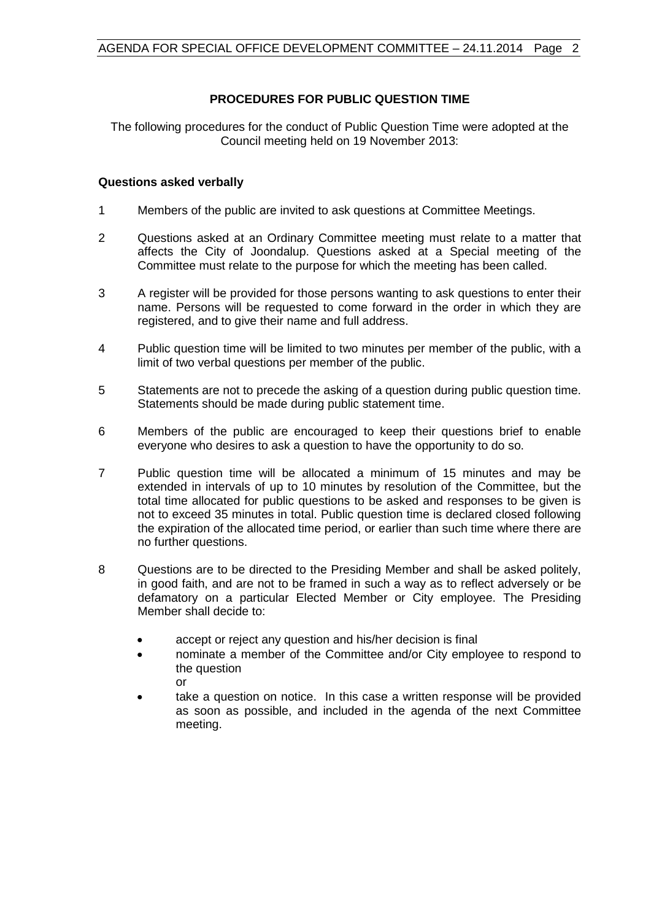# **PROCEDURES FOR PUBLIC QUESTION TIME**

The following procedures for the conduct of Public Question Time were adopted at the Council meeting held on 19 November 2013:

### **Questions asked verbally**

- 1 Members of the public are invited to ask questions at Committee Meetings.
- 2 Questions asked at an Ordinary Committee meeting must relate to a matter that affects the City of Joondalup. Questions asked at a Special meeting of the Committee must relate to the purpose for which the meeting has been called.
- 3 A register will be provided for those persons wanting to ask questions to enter their name. Persons will be requested to come forward in the order in which they are registered, and to give their name and full address.
- 4 Public question time will be limited to two minutes per member of the public, with a limit of two verbal questions per member of the public.
- 5 Statements are not to precede the asking of a question during public question time. Statements should be made during public statement time.
- 6 Members of the public are encouraged to keep their questions brief to enable everyone who desires to ask a question to have the opportunity to do so.
- 7 Public question time will be allocated a minimum of 15 minutes and may be extended in intervals of up to 10 minutes by resolution of the Committee, but the total time allocated for public questions to be asked and responses to be given is not to exceed 35 minutes in total. Public question time is declared closed following the expiration of the allocated time period, or earlier than such time where there are no further questions.
- 8 Questions are to be directed to the Presiding Member and shall be asked politely, in good faith, and are not to be framed in such a way as to reflect adversely or be defamatory on a particular Elected Member or City employee. The Presiding Member shall decide to:
	- accept or reject any question and his/her decision is final
	- nominate a member of the Committee and/or City employee to respond to the question or
	- take a question on notice. In this case a written response will be provided as soon as possible, and included in the agenda of the next Committee meeting.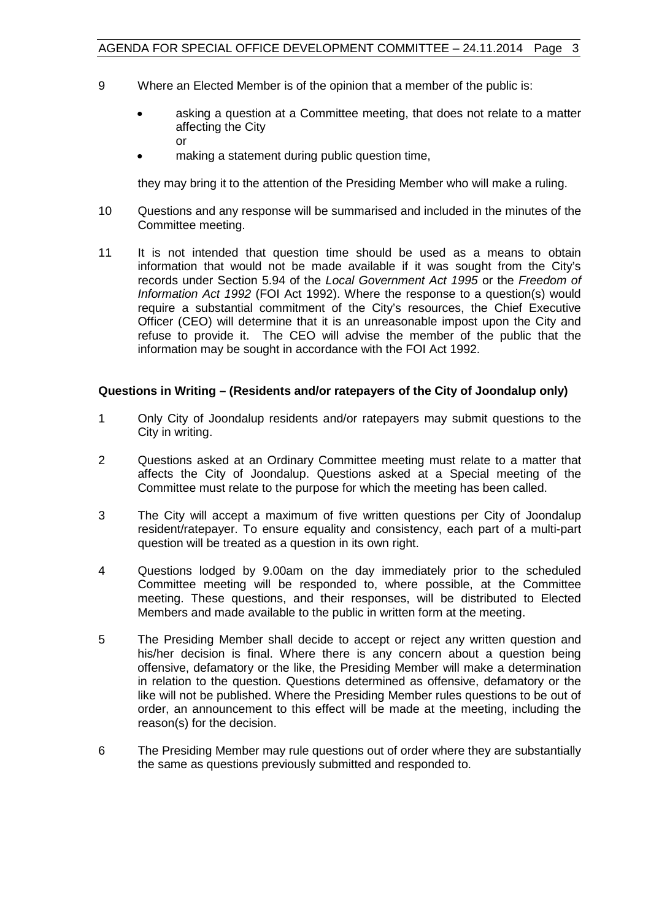- 9 Where an Elected Member is of the opinion that a member of the public is:
	- asking a question at a Committee meeting, that does not relate to a matter affecting the City or
	- making a statement during public question time,

they may bring it to the attention of the Presiding Member who will make a ruling.

- 10 Questions and any response will be summarised and included in the minutes of the Committee meeting.
- 11 It is not intended that question time should be used as a means to obtain information that would not be made available if it was sought from the City's records under Section 5.94 of the *Local Government Act 1995* or the *Freedom of Information Act 1992* (FOI Act 1992). Where the response to a question(s) would require a substantial commitment of the City's resources, the Chief Executive Officer (CEO) will determine that it is an unreasonable impost upon the City and refuse to provide it. The CEO will advise the member of the public that the information may be sought in accordance with the FOI Act 1992.

# **Questions in Writing – (Residents and/or ratepayers of the City of Joondalup only)**

- 1 Only City of Joondalup residents and/or ratepayers may submit questions to the City in writing.
- 2 Questions asked at an Ordinary Committee meeting must relate to a matter that affects the City of Joondalup. Questions asked at a Special meeting of the Committee must relate to the purpose for which the meeting has been called.
- 3 The City will accept a maximum of five written questions per City of Joondalup resident/ratepayer. To ensure equality and consistency, each part of a multi-part question will be treated as a question in its own right.
- 4 Questions lodged by 9.00am on the day immediately prior to the scheduled Committee meeting will be responded to, where possible, at the Committee meeting. These questions, and their responses, will be distributed to Elected Members and made available to the public in written form at the meeting.
- 5 The Presiding Member shall decide to accept or reject any written question and his/her decision is final. Where there is any concern about a question being offensive, defamatory or the like, the Presiding Member will make a determination in relation to the question. Questions determined as offensive, defamatory or the like will not be published. Where the Presiding Member rules questions to be out of order, an announcement to this effect will be made at the meeting, including the reason(s) for the decision.
- 6 The Presiding Member may rule questions out of order where they are substantially the same as questions previously submitted and responded to.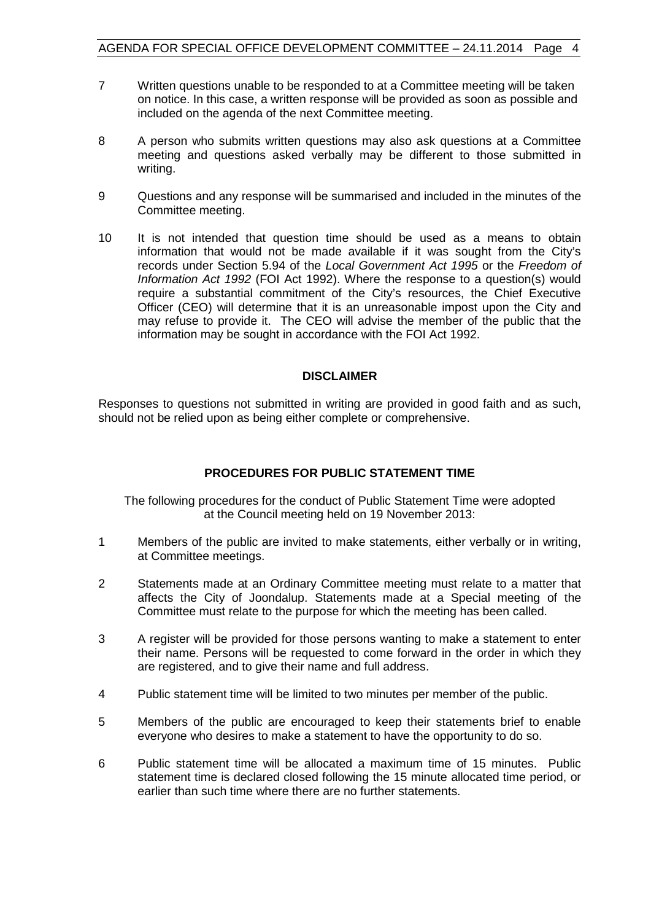- 7 Written questions unable to be responded to at a Committee meeting will be taken on notice. In this case, a written response will be provided as soon as possible and included on the agenda of the next Committee meeting.
- 8 A person who submits written questions may also ask questions at a Committee meeting and questions asked verbally may be different to those submitted in writing.
- 9 Questions and any response will be summarised and included in the minutes of the Committee meeting.
- 10 It is not intended that question time should be used as a means to obtain information that would not be made available if it was sought from the City's records under Section 5.94 of the *Local Government Act 1995* or the *Freedom of Information Act 1992* (FOI Act 1992). Where the response to a question(s) would require a substantial commitment of the City's resources, the Chief Executive Officer (CEO) will determine that it is an unreasonable impost upon the City and may refuse to provide it. The CEO will advise the member of the public that the information may be sought in accordance with the FOI Act 1992.

### **DISCLAIMER**

Responses to questions not submitted in writing are provided in good faith and as such, should not be relied upon as being either complete or comprehensive.

### **PROCEDURES FOR PUBLIC STATEMENT TIME**

The following procedures for the conduct of Public Statement Time were adopted at the Council meeting held on 19 November 2013:

- 1 Members of the public are invited to make statements, either verbally or in writing, at Committee meetings.
- 2 Statements made at an Ordinary Committee meeting must relate to a matter that affects the City of Joondalup. Statements made at a Special meeting of the Committee must relate to the purpose for which the meeting has been called.
- 3 A register will be provided for those persons wanting to make a statement to enter their name. Persons will be requested to come forward in the order in which they are registered, and to give their name and full address.
- 4 Public statement time will be limited to two minutes per member of the public.
- 5 Members of the public are encouraged to keep their statements brief to enable everyone who desires to make a statement to have the opportunity to do so.
- 6 Public statement time will be allocated a maximum time of 15 minutes. Public statement time is declared closed following the 15 minute allocated time period, or earlier than such time where there are no further statements.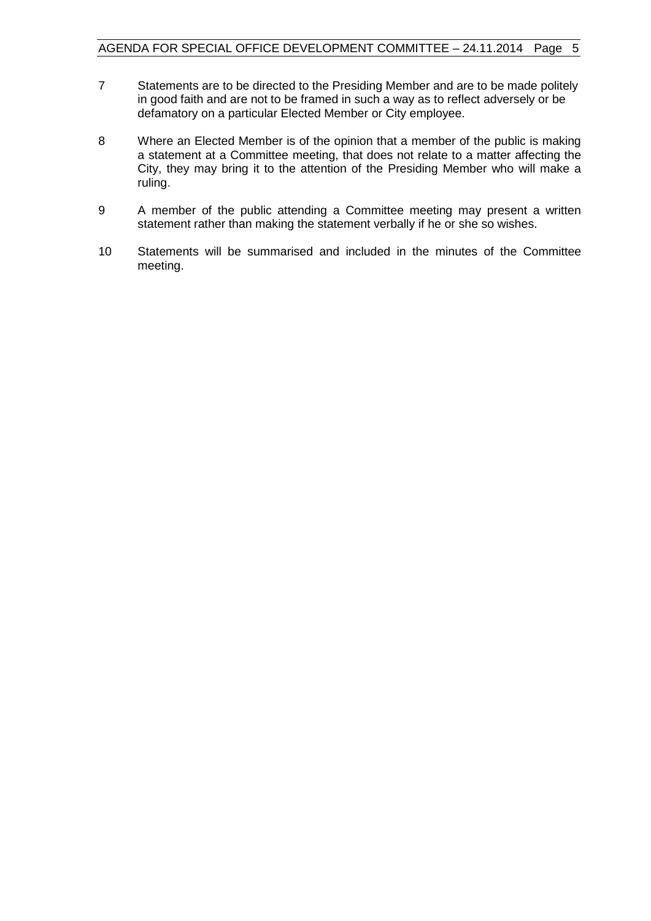- 7 Statements are to be directed to the Presiding Member and are to be made politely in good faith and are not to be framed in such a way as to reflect adversely or be defamatory on a particular Elected Member or City employee.
- 8 Where an Elected Member is of the opinion that a member of the public is making a statement at a Committee meeting, that does not relate to a matter affecting the City, they may bring it to the attention of the Presiding Member who will make a ruling.
- 9 A member of the public attending a Committee meeting may present a written statement rather than making the statement verbally if he or she so wishes.
- 10 Statements will be summarised and included in the minutes of the Committee meeting.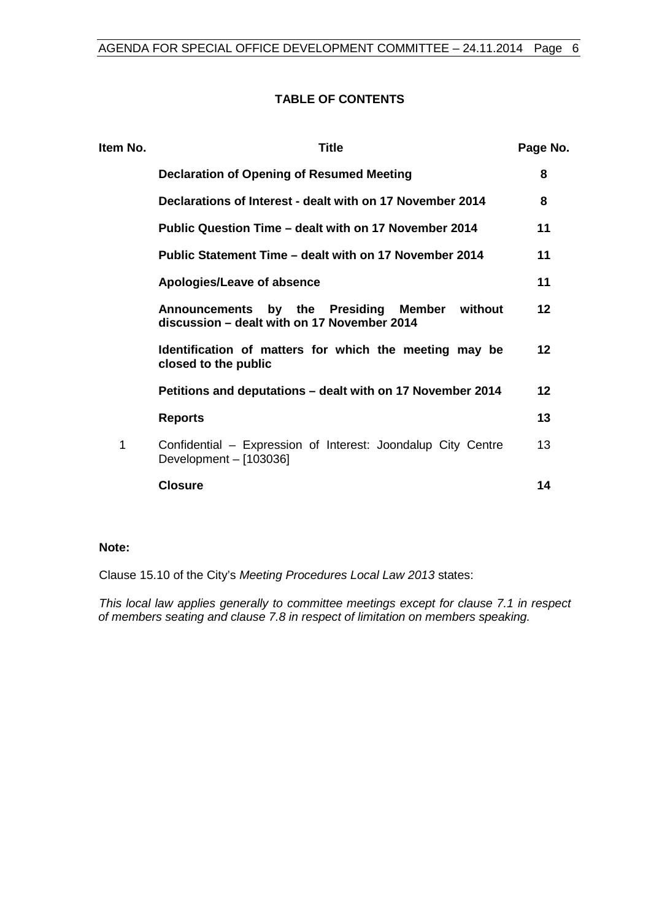### **TABLE OF CONTENTS**

| Item No. | <b>Title</b>                                                                                                 | Page No. |
|----------|--------------------------------------------------------------------------------------------------------------|----------|
|          | Declaration of Opening of Resumed Meeting                                                                    | 8        |
|          | Declarations of Interest - dealt with on 17 November 2014                                                    | 8        |
|          | Public Question Time – dealt with on 17 November 2014                                                        | 11       |
|          | Public Statement Time – dealt with on 17 November 2014                                                       | 11       |
|          | Apologies/Leave of absence                                                                                   | 11       |
|          | by the Presiding<br>Member<br>without<br><b>Announcements</b><br>discussion – dealt with on 17 November 2014 | 12       |
|          | Identification of matters for which the meeting may be<br>closed to the public                               | 12       |
|          | Petitions and deputations - dealt with on 17 November 2014                                                   | 12       |
|          | <b>Reports</b>                                                                                               | 13       |
| 1        | Confidential - Expression of Interest: Joondalup City Centre<br>Development - [103036]                       | 13       |
|          | <b>Closure</b>                                                                                               | 14       |
|          |                                                                                                              |          |

# **Note:**

Clause 15.10 of the City's *Meeting Procedures Local Law 2013* states:

*This local law applies generally to committee meetings except for clause 7.1 in respect of members seating and clause 7.8 in respect of limitation on members speaking.*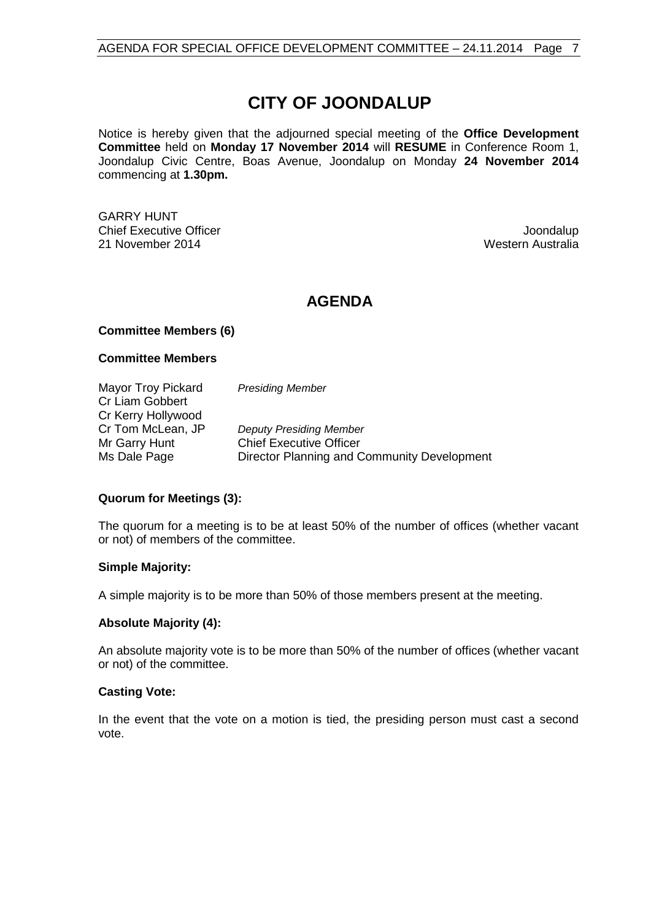# **CITY OF JOONDALUP**

Notice is hereby given that the adjourned special meeting of the **Office Development Committee** held on **Monday 17 November 2014** will **RESUME** in Conference Room 1, Joondalup Civic Centre, Boas Avenue, Joondalup on Monday **24 November 2014** commencing at **1.30pm.**

GARRY HUNT **Chief Executive Officer Joseph According to the Chief Executive Officer Joseph According to the Chief According to the Chief According to the Chief According to the Chief According to the Chief According to the Chief Acco** 21 November 2014 **Western Australia** Western Australia

# **AGENDA**

### **Committee Members (6)**

#### **Committee Members**

Mayor Troy Pickard *Presiding Member* Cr Liam Gobbert Cr Kerry Hollywood<br>Cr Tom McLean, JP Cr Tom McLean, JP *Deputy Presiding Member* **Chief Executive Officer** Ms Dale Page Director Planning and Community Development

### **Quorum for Meetings (3):**

The quorum for a meeting is to be at least 50% of the number of offices (whether vacant or not) of members of the committee.

#### **Simple Majority:**

A simple majority is to be more than 50% of those members present at the meeting.

### **Absolute Majority (4):**

An absolute majority vote is to be more than 50% of the number of offices (whether vacant or not) of the committee.

#### **Casting Vote:**

In the event that the vote on a motion is tied, the presiding person must cast a second vote.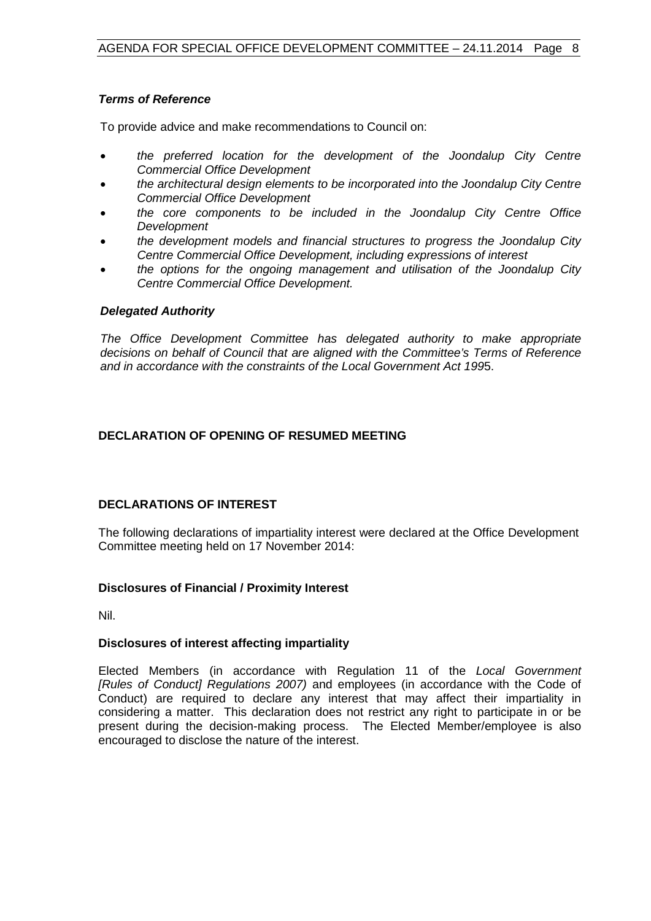### *Terms of Reference*

To provide advice and make recommendations to Council on:

- *the preferred location for the development of the Joondalup City Centre Commercial Office Development*
- *the architectural design elements to be incorporated into the Joondalup City Centre Commercial Office Development*
- *the core components to be included in the Joondalup City Centre Office Development*
- *the development models and financial structures to progress the Joondalup City Centre Commercial Office Development, including expressions of interest*
- *the options for the ongoing management and utilisation of the Joondalup City Centre Commercial Office Development.*

### *Delegated Authority*

*The Office Development Committee has delegated authority to make appropriate decisions on behalf of Council that are aligned with the Committee's Terms of Reference and in accordance with the constraints of the Local Government Act 199*5.

# <span id="page-7-0"></span>**DECLARATION OF OPENING OF RESUMED MEETING**

### <span id="page-7-1"></span>**DECLARATIONS OF INTEREST**

The following declarations of impartiality interest were declared at the Office Development Committee meeting held on 17 November 2014:

### **Disclosures of Financial / Proximity Interest**

Nil.

### **Disclosures of interest affecting impartiality**

Elected Members (in accordance with Regulation 11 of the *Local Government [Rules of Conduct] Regulations 2007)* and employees (in accordance with the Code of Conduct) are required to declare any interest that may affect their impartiality in considering a matter. This declaration does not restrict any right to participate in or be present during the decision-making process. The Elected Member/employee is also encouraged to disclose the nature of the interest.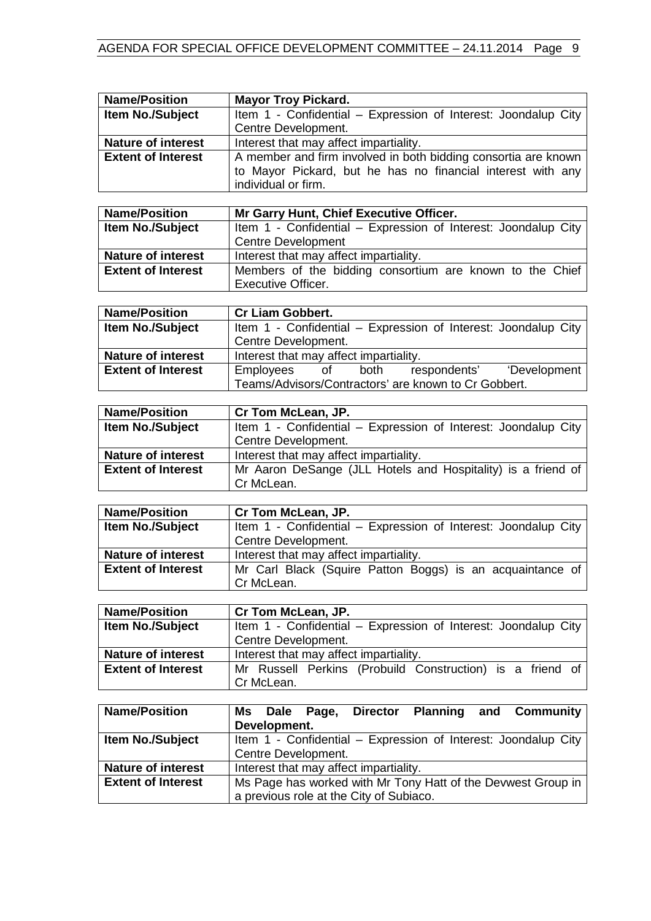| <b>Name/Position</b>      | <b>Mayor Troy Pickard.</b>                                                                  |  |  |  |  |  |
|---------------------------|---------------------------------------------------------------------------------------------|--|--|--|--|--|
| <b>Item No./Subject</b>   | Item 1 - Confidential - Expression of Interest: Joondalup City                              |  |  |  |  |  |
|                           | Centre Development.                                                                         |  |  |  |  |  |
| <b>Nature of interest</b> | Interest that may affect impartiality.                                                      |  |  |  |  |  |
| <b>Extent of Interest</b> | A member and firm involved in both bidding consortia are known                              |  |  |  |  |  |
|                           | to Mayor Pickard, but he has no financial interest with any                                 |  |  |  |  |  |
|                           | individual or firm.                                                                         |  |  |  |  |  |
|                           |                                                                                             |  |  |  |  |  |
| <b>Name/Position</b>      | Mr Garry Hunt, Chief Executive Officer.                                                     |  |  |  |  |  |
| <b>Item No./Subject</b>   | Item 1 - Confidential - Expression of Interest: Joondalup City                              |  |  |  |  |  |
|                           |                                                                                             |  |  |  |  |  |
| <b>Nature of interest</b> | <b>Centre Development</b>                                                                   |  |  |  |  |  |
|                           | Interest that may affect impartiality.                                                      |  |  |  |  |  |
| <b>Extent of Interest</b> | Members of the bidding consortium are known to the Chief                                    |  |  |  |  |  |
|                           | <b>Executive Officer.</b>                                                                   |  |  |  |  |  |
|                           |                                                                                             |  |  |  |  |  |
| <b>Name/Position</b>      | <b>Cr Liam Gobbert.</b>                                                                     |  |  |  |  |  |
| Item No./Subject          | Item 1 - Confidential - Expression of Interest: Joondalup City                              |  |  |  |  |  |
|                           | Centre Development.                                                                         |  |  |  |  |  |
| Nature of interest        | Interest that may affect impartiality.                                                      |  |  |  |  |  |
| <b>Extent of Interest</b> | both<br>respondents'<br>Employees<br>$\circ$ of<br>'Development                             |  |  |  |  |  |
|                           | Teams/Advisors/Contractors' are known to Cr Gobbert.                                        |  |  |  |  |  |
|                           |                                                                                             |  |  |  |  |  |
| <b>Name/Position</b>      | Cr Tom McLean, JP.                                                                          |  |  |  |  |  |
| Item No./Subject          | Item 1 - Confidential - Expression of Interest: Joondalup City                              |  |  |  |  |  |
|                           | Centre Development.                                                                         |  |  |  |  |  |
| <b>Nature of interest</b> | Interest that may affect impartiality.                                                      |  |  |  |  |  |
| <b>Extent of Interest</b> | Mr Aaron DeSange (JLL Hotels and Hospitality) is a friend of                                |  |  |  |  |  |
|                           | Cr McLean.                                                                                  |  |  |  |  |  |
|                           |                                                                                             |  |  |  |  |  |
| <b>Name/Position</b>      | Cr Tom McLean, JP.                                                                          |  |  |  |  |  |
| Item No./Subject          | Item 1 - Confidential - Expression of Interest: Joondalup City                              |  |  |  |  |  |
|                           | Centre Development.                                                                         |  |  |  |  |  |
| <b>Nature of interest</b> | Interest that may affect impartiality.                                                      |  |  |  |  |  |
| <b>Extent of Interest</b> | Mr Carl Black (Squire Patton Boggs) is an acquaintance of                                   |  |  |  |  |  |
|                           | Cr McLean.                                                                                  |  |  |  |  |  |
|                           |                                                                                             |  |  |  |  |  |
| <b>Name/Position</b>      | Cr Tom McLean, JP.                                                                          |  |  |  |  |  |
| Item No./Subject          | Item 1 - Confidential – Expression of Interest: Joondalup City                              |  |  |  |  |  |
|                           | Centre Development.                                                                         |  |  |  |  |  |
| <b>Nature of interest</b> | Interest that may affect impartiality.                                                      |  |  |  |  |  |
| <b>Extent of Interest</b> |                                                                                             |  |  |  |  |  |
|                           | Mr Russell Perkins (Probuild Construction) is a friend of                                   |  |  |  |  |  |
|                           | Cr McLean.                                                                                  |  |  |  |  |  |
|                           |                                                                                             |  |  |  |  |  |
| <b>Name/Position</b>      | <b>Planning</b><br>and<br><b>Director</b><br><b>Community</b><br><b>Dale</b><br>Ms<br>Page, |  |  |  |  |  |
|                           | Development.                                                                                |  |  |  |  |  |
| Item No./Subject          | Item 1 - Confidential - Expression of Interest: Joondalup City                              |  |  |  |  |  |
|                           | Centre Development.                                                                         |  |  |  |  |  |
| <b>Nature of interest</b> | Interest that may affect impartiality.                                                      |  |  |  |  |  |
| <b>Extent of Interest</b> | Ms Page has worked with Mr Tony Hatt of the Devwest Group in                                |  |  |  |  |  |
|                           | a previous role at the City of Subiaco.                                                     |  |  |  |  |  |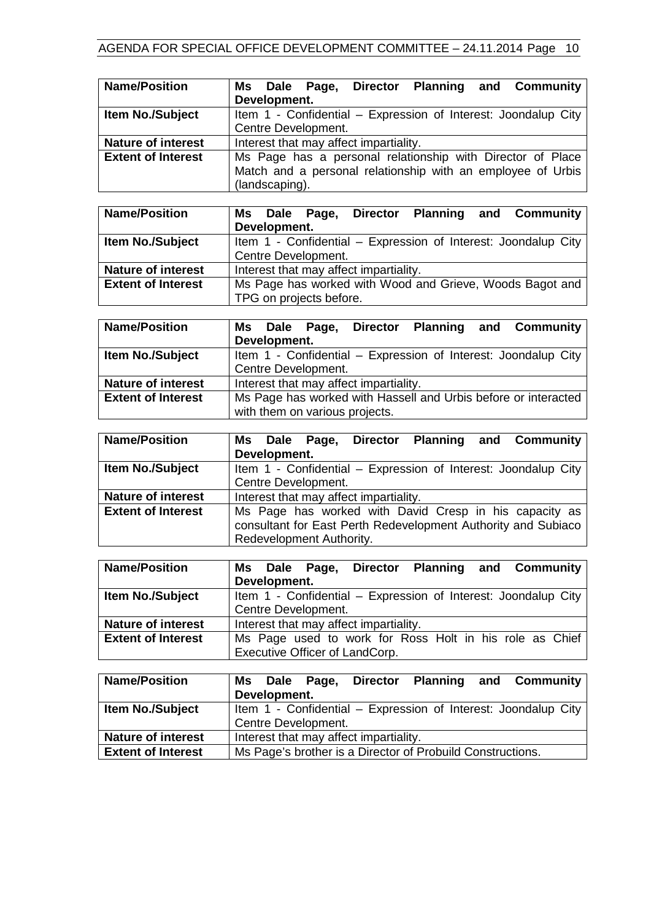| <b>Name/Position</b>      | Ms Dale Page, Director Planning and Community                  |  |  |  |
|---------------------------|----------------------------------------------------------------|--|--|--|
|                           | Development.                                                   |  |  |  |
| Item No./Subject          | Item 1 - Confidential - Expression of Interest: Joondalup City |  |  |  |
|                           | Centre Development.                                            |  |  |  |
| <b>Nature of interest</b> | Interest that may affect impartiality.                         |  |  |  |
| <b>Extent of Interest</b> | Ms Page has a personal relationship with Director of Place     |  |  |  |
|                           | Match and a personal relationship with an employee of Urbis    |  |  |  |
|                           | (landscaping).                                                 |  |  |  |

| <b>Name/Position</b>      |                                                          |                                                                |                         |  |  | Ms Dale Page, Director Planning and Community |
|---------------------------|----------------------------------------------------------|----------------------------------------------------------------|-------------------------|--|--|-----------------------------------------------|
|                           |                                                          | Development.                                                   |                         |  |  |                                               |
| <b>Item No./Subject</b>   |                                                          | Item 1 - Confidential - Expression of Interest: Joondalup City |                         |  |  |                                               |
|                           |                                                          |                                                                | Centre Development.     |  |  |                                               |
| <b>Nature of interest</b> | Interest that may affect impartiality.                   |                                                                |                         |  |  |                                               |
| <b>Extent of Interest</b> | Ms Page has worked with Wood and Grieve, Woods Bagot and |                                                                |                         |  |  |                                               |
|                           |                                                          |                                                                | TPG on projects before. |  |  |                                               |

| <b>Name/Position</b>      | Ms Dale Page, Director Planning and Community<br>Development.  |  |  |  |
|---------------------------|----------------------------------------------------------------|--|--|--|
| <b>Item No./Subject</b>   | Item 1 - Confidential - Expression of Interest: Joondalup City |  |  |  |
|                           | Centre Development.                                            |  |  |  |
| <b>Nature of interest</b> | Interest that may affect impartiality.                         |  |  |  |
| <b>Extent of Interest</b> | Ms Page has worked with Hassell and Urbis before or interacted |  |  |  |
|                           | with them on various projects.                                 |  |  |  |

| <b>Name/Position</b>      |                                                               |                                                                |  |  |  | Ms Dale Page, Director Planning and Community |  |
|---------------------------|---------------------------------------------------------------|----------------------------------------------------------------|--|--|--|-----------------------------------------------|--|
|                           | Development.                                                  |                                                                |  |  |  |                                               |  |
| <b>Item No./Subject</b>   |                                                               | Item 1 - Confidential - Expression of Interest: Joondalup City |  |  |  |                                               |  |
|                           | Centre Development.                                           |                                                                |  |  |  |                                               |  |
| <b>Nature of interest</b> | Interest that may affect impartiality.                        |                                                                |  |  |  |                                               |  |
| <b>Extent of Interest</b> | Ms Page has worked with David Cresp in his capacity as        |                                                                |  |  |  |                                               |  |
|                           | consultant for East Perth Redevelopment Authority and Subiaco |                                                                |  |  |  |                                               |  |
|                           |                                                               |                                                                |  |  |  | Redevelopment Authority.                      |  |

| <b>Name/Position</b>      | Ms Dale Page, Director Planning and Community                  |  |  |
|---------------------------|----------------------------------------------------------------|--|--|
|                           | Development.                                                   |  |  |
| <b>Item No./Subject</b>   | Item 1 - Confidential – Expression of Interest: Joondalup City |  |  |
|                           | Centre Development.                                            |  |  |
| <b>Nature of interest</b> | Interest that may affect impartiality.                         |  |  |
| <b>Extent of Interest</b> | Ms Page used to work for Ross Holt in his role as Chief        |  |  |
|                           | Executive Officer of LandCorp.                                 |  |  |

| <b>Name/Position</b>      |                                                                | Development. |  |  |  |  | Ms Dale Page, Director Planning and Community |
|---------------------------|----------------------------------------------------------------|--------------|--|--|--|--|-----------------------------------------------|
| <b>Item No./Subject</b>   | Item 1 - Confidential – Expression of Interest: Joondalup City |              |  |  |  |  |                                               |
|                           | Centre Development.                                            |              |  |  |  |  |                                               |
| <b>Nature of interest</b> | Interest that may affect impartiality.                         |              |  |  |  |  |                                               |
| <b>Extent of Interest</b> | Ms Page's brother is a Director of Probuild Constructions.     |              |  |  |  |  |                                               |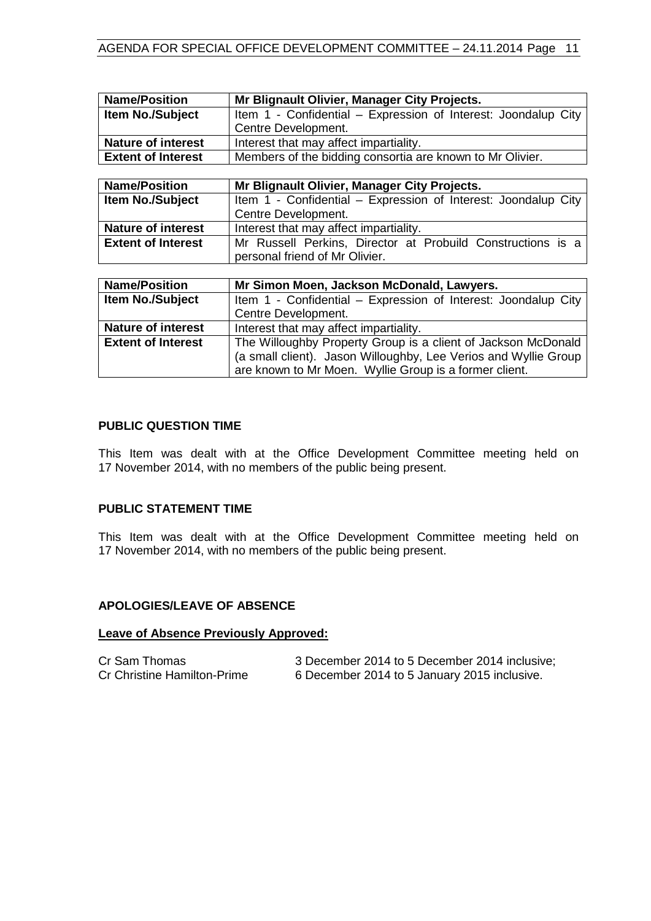| <b>Name/Position</b>      | Mr Blignault Olivier, Manager City Projects.                   |  |  |
|---------------------------|----------------------------------------------------------------|--|--|
| <b>Item No./Subject</b>   | Item 1 - Confidential - Expression of Interest: Joondalup City |  |  |
|                           | Centre Development.                                            |  |  |
| <b>Nature of interest</b> | Interest that may affect impartiality.                         |  |  |
| <b>Extent of Interest</b> | Members of the bidding consortia are known to Mr Olivier.      |  |  |
|                           |                                                                |  |  |
| <b>Name/Position</b>      | Mr Blignault Olivier, Manager City Projects.                   |  |  |
| <b>Item No./Subject</b>   | Item 1 - Confidential – Expression of Interest: Joondalup City |  |  |
|                           | Centre Development.                                            |  |  |
| <b>Nature of interest</b> | Interest that may affect impartiality.                         |  |  |
| <b>Extent of Interest</b> | Mr Russell Perkins, Director at Probuild Constructions is a    |  |  |
|                           | personal friend of Mr Olivier.                                 |  |  |
|                           |                                                                |  |  |
| <b>Name/Position</b>      | Mr Simon Moen, Jackson McDonald, Lawyers.                      |  |  |
| <b>Item No./Subject</b>   | Item 1 - Confidential - Expression of Interest: Joondalup City |  |  |
|                           | Centre Development.                                            |  |  |

|                           | <b>OCHING DUVULOPHIUM</b>                                       |  |  |
|---------------------------|-----------------------------------------------------------------|--|--|
| <b>Nature of interest</b> | Interest that may affect impartiality.                          |  |  |
| <b>Extent of Interest</b> | The Willoughby Property Group is a client of Jackson McDonald   |  |  |
|                           | (a small client). Jason Willoughby, Lee Verios and Wyllie Group |  |  |
|                           | are known to Mr Moen. Wyllie Group is a former client.          |  |  |

# <span id="page-10-0"></span>**PUBLIC QUESTION TIME**

This Item was dealt with at the Office Development Committee meeting held on 17 November 2014, with no members of the public being present.

# <span id="page-10-1"></span>**PUBLIC STATEMENT TIME**

This Item was dealt with at the Office Development Committee meeting held on 17 November 2014, with no members of the public being present.

### <span id="page-10-2"></span>**APOLOGIES/LEAVE OF ABSENCE**

### **Leave of Absence Previously Approved:**

| Cr Sam Thomas                      | 3 December 2014 to 5 December 2014 inclusive; |
|------------------------------------|-----------------------------------------------|
| <b>Cr Christine Hamilton-Prime</b> | 6 December 2014 to 5 January 2015 inclusive.  |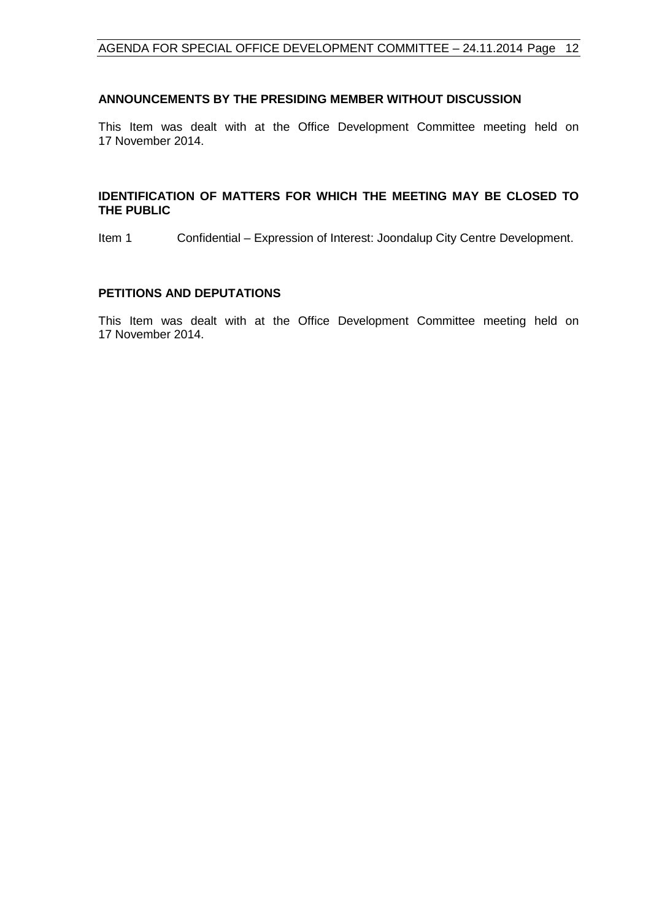### <span id="page-11-0"></span>**ANNOUNCEMENTS BY THE PRESIDING MEMBER WITHOUT DISCUSSION**

This Item was dealt with at the Office Development Committee meeting held on 17 November 2014.

### <span id="page-11-1"></span>**IDENTIFICATION OF MATTERS FOR WHICH THE MEETING MAY BE CLOSED TO THE PUBLIC**

Item 1 Confidential – Expression of Interest: Joondalup City Centre Development.

#### <span id="page-11-2"></span>**PETITIONS AND DEPUTATIONS**

This Item was dealt with at the Office Development Committee meeting held on 17 November 2014.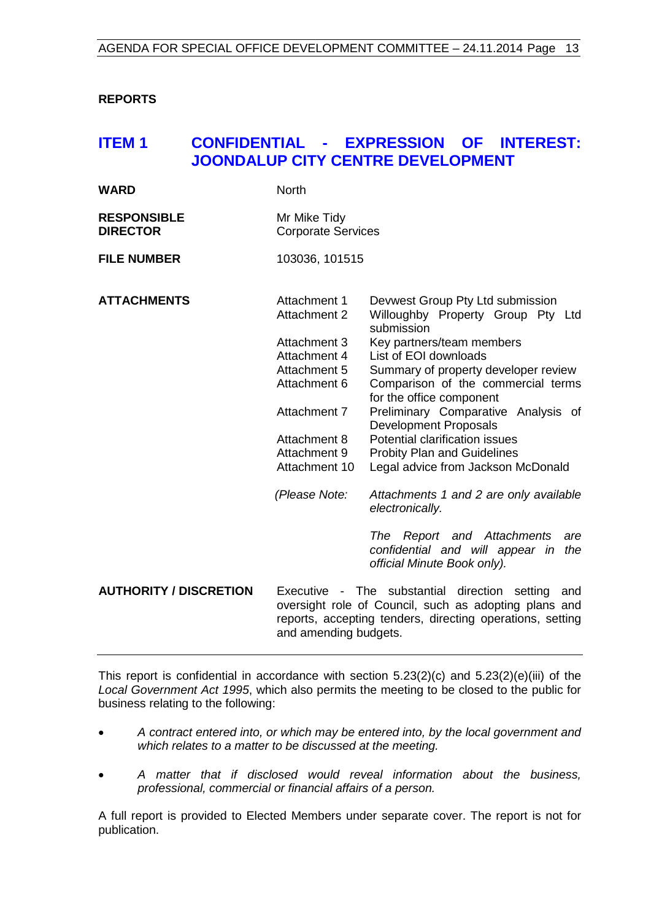# <span id="page-12-0"></span>**REPORTS**

# <span id="page-12-1"></span>**ITEM 1 CONFIDENTIAL - EXPRESSION OF INTEREST: JOONDALUP CITY CENTRE DEVELOPMENT**

| <b>WARD</b>        | <b>North</b>              |
|--------------------|---------------------------|
| <b>RESPONSIBLE</b> | Mr Mike Tidy              |
| <b>DIRECTOR</b>    | <b>Corporate Services</b> |

**FILE NUMBER** 103036, 101515

| <b>ATTACHMENTS</b>            | Attachment 1<br><b>Attachment 2</b>                                                                                                                                                                 | Devwest Group Pty Ltd submission<br>Willoughby Property Group Pty Ltd<br>submission                           |
|-------------------------------|-----------------------------------------------------------------------------------------------------------------------------------------------------------------------------------------------------|---------------------------------------------------------------------------------------------------------------|
|                               | Attachment 3                                                                                                                                                                                        | Key partners/team members                                                                                     |
|                               | Attachment 4                                                                                                                                                                                        | List of EOI downloads                                                                                         |
|                               | Attachment 5                                                                                                                                                                                        | Summary of property developer review                                                                          |
|                               | Attachment 6                                                                                                                                                                                        | Comparison of the commercial terms<br>for the office component                                                |
|                               | Attachment 7                                                                                                                                                                                        | Preliminary Comparative Analysis of<br>Development Proposals                                                  |
|                               | Attachment 8                                                                                                                                                                                        | Potential clarification issues                                                                                |
|                               | Attachment 9                                                                                                                                                                                        | <b>Probity Plan and Guidelines</b>                                                                            |
|                               | Attachment 10                                                                                                                                                                                       | Legal advice from Jackson McDonald                                                                            |
|                               | (Please Note:                                                                                                                                                                                       | Attachments 1 and 2 are only available<br>electronically.                                                     |
|                               |                                                                                                                                                                                                     | Report and Attachments<br>The<br>are<br>confidential and will appear in<br>the<br>official Minute Book only). |
| <b>AUTHORITY / DISCRETION</b> | Executive - The substantial direction setting<br>and<br>oversight role of Council, such as adopting plans and<br>reports, accepting tenders, directing operations, setting<br>and amending budgets. |                                                                                                               |

This report is confidential in accordance with section 5.23(2)(c) and 5.23(2)(e)(iii) of the *Local Government Act 1995*, which also permits the meeting to be closed to the public for business relating to the following:

- *A contract entered into, or which may be entered into, by the local government and which relates to a matter to be discussed at the meeting.*
- *A matter that if disclosed would reveal information about the business, professional, commercial or financial affairs of a person.*

A full report is provided to Elected Members under separate cover. The report is not for publication.